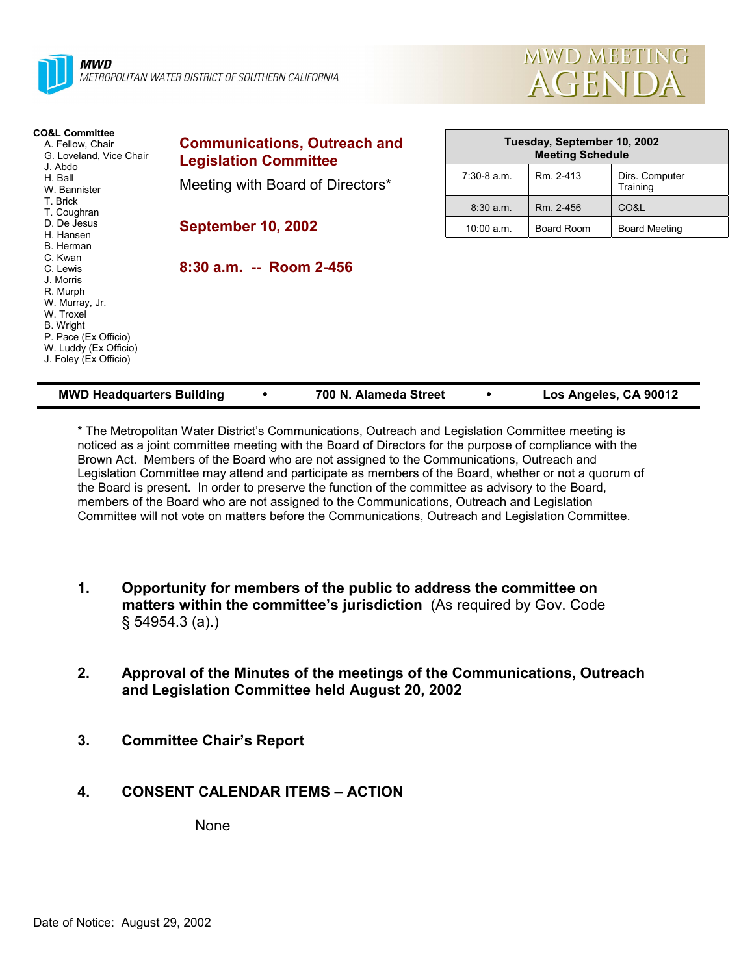



| <b>CO&amp;L Committee</b><br>A. Fellow, Chair<br>G. Loveland, Vice Chair<br>J. Abdo<br>H. Ball<br>W. Bannister<br>T. Brick<br>T. Coughran<br>D. De Jesus<br>H. Hansen<br>B. Herman<br>C. Kwan<br>C. Lewis<br>J. Morris<br>R. Murph<br>W. Murray, Jr.<br>W. Troxel<br>B. Wright<br>P. Pace (Ex Officio)<br>W. Luddy (Ex Officio)<br>J. Foley (Ex Officio) | <b>Communications, Outreach and</b><br><b>Legislation Committee</b> | Tuesday, September 10, 2002<br><b>Meeting Schedule</b> |            |                            |
|----------------------------------------------------------------------------------------------------------------------------------------------------------------------------------------------------------------------------------------------------------------------------------------------------------------------------------------------------------|---------------------------------------------------------------------|--------------------------------------------------------|------------|----------------------------|
|                                                                                                                                                                                                                                                                                                                                                          | Meeting with Board of Directors*                                    | $7:30-8$ a.m.                                          | Rm. 2-413  | Dirs. Computer<br>Training |
|                                                                                                                                                                                                                                                                                                                                                          |                                                                     | $8:30$ a.m.                                            | Rm. 2-456  | CO&L                       |
|                                                                                                                                                                                                                                                                                                                                                          | <b>September 10, 2002</b>                                           | $10:00$ a.m.                                           | Board Room | <b>Board Meeting</b>       |
|                                                                                                                                                                                                                                                                                                                                                          | $8:30$ a.m. -- Room 2-456                                           |                                                        |            |                            |

| <b>MWD Headquarters Building</b> | 700 N. Alameda Street | Los Angeles, CA 90012 |
|----------------------------------|-----------------------|-----------------------|
|                                  |                       |                       |

\* The Metropolitan Water Districtís Communications, Outreach and Legislation Committee meeting is noticed as a joint committee meeting with the Board of Directors for the purpose of compliance with the Brown Act. Members of the Board who are not assigned to the Communications, Outreach and Legislation Committee may attend and participate as members of the Board, whether or not a quorum of the Board is present. In order to preserve the function of the committee as advisory to the Board, members of the Board who are not assigned to the Communications, Outreach and Legislation Committee will not vote on matters before the Communications, Outreach and Legislation Committee.

- **1. Opportunity for members of the public to address the committee on matters within the committee's jurisdiction** (As required by Gov. Code ß 54954.3 (a).)
- **2. Approval of the Minutes of the meetings of the Communications, Outreach and Legislation Committee held August 20, 2002**
- **3. Committee Chairís Report**
- **4. CONSENT CALENDAR ITEMS ACTION**

None